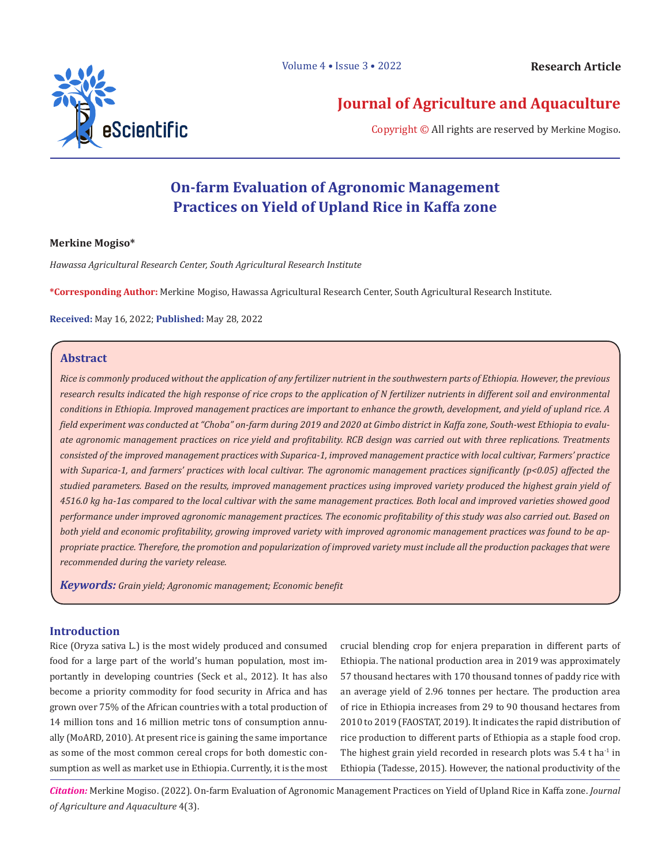

# **Journal of Agriculture and Aquaculture**

Copyright © All rights are reserved by Merkine Mogiso.

# **On-farm Evaluation of Agronomic Management Practices on Yield of Upland Rice in Kaffa zone**

# **Merkine Mogiso\***

*Hawassa Agricultural Research Center, South Agricultural Research Institute*

**\*Corresponding Author:** Merkine Mogiso, Hawassa Agricultural Research Center, South Agricultural Research Institute.

**Received:** May 16, 2022; **Published:** May 28, 2022

# **Abstract**

*Rice is commonly produced without the application of any fertilizer nutrient in the southwestern parts of Ethiopia. However, the previous research results indicated the high response of rice crops to the application of N fertilizer nutrients in different soil and environmental conditions in Ethiopia. Improved management practices are important to enhance the growth, development, and yield of upland rice. A field experiment was conducted at "Choba" on-farm during 2019 and 2020 at Gimbo district in Kaffa zone, South-west Ethiopia to evaluate agronomic management practices on rice yield and profitability. RCB design was carried out with three replications. Treatments consisted of the improved management practices with Suparica-1, improved management practice with local cultivar, Farmers' practice with Suparica-1, and farmers' practices with local cultivar. The agronomic management practices significantly (p<0.05) affected the studied parameters. Based on the results, improved management practices using improved variety produced the highest grain yield of 4516.0 kg ha-1as compared to the local cultivar with the same management practices. Both local and improved varieties showed good performance under improved agronomic management practices. The economic profitability of this study was also carried out. Based on both yield and economic profitability, growing improved variety with improved agronomic management practices was found to be appropriate practice. Therefore, the promotion and popularization of improved variety must include all the production packages that were recommended during the variety release.*

*Keywords: Grain yield; Agronomic management; Economic benefit*

# **Introduction**

Rice (Oryza sativa L.) is the most widely produced and consumed food for a large part of the world's human population, most importantly in developing countries (Seck et al., 2012). It has also become a priority commodity for food security in Africa and has grown over 75% of the African countries with a total production of 14 million tons and 16 million metric tons of consumption annually (MoARD, 2010). At present rice is gaining the same importance as some of the most common cereal crops for both domestic consumption as well as market use in Ethiopia. Currently, it is the most

crucial blending crop for enjera preparation in different parts of Ethiopia. The national production area in 2019 was approximately 57 thousand hectares with 170 thousand tonnes of paddy rice with an average yield of 2.96 tonnes per hectare. The production area of rice in Ethiopia increases from 29 to 90 thousand hectares from 2010 to 2019 (FAOSTAT, 2019). It indicates the rapid distribution of rice production to different parts of Ethiopia as a staple food crop. The highest grain yield recorded in research plots was 5.4 t ha<sup>-1</sup> in Ethiopia (Tadesse, 2015). However, the national productivity of the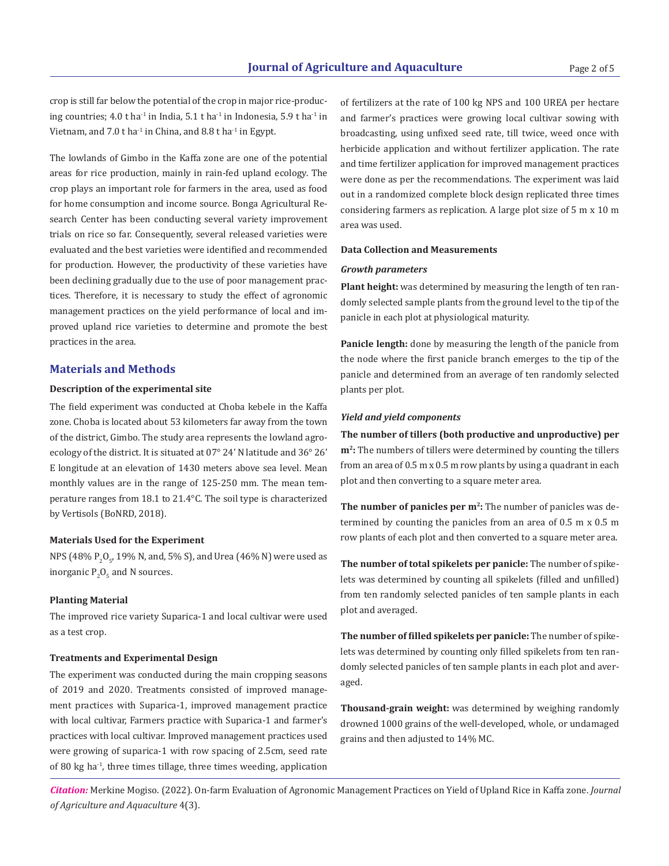crop is still far below the potential of the crop in major rice-producing countries;  $4.0$  t ha<sup>-1</sup> in India,  $5.1$  t ha<sup>-1</sup> in Indonesia,  $5.9$  t ha<sup>-1</sup> in Vietnam, and 7.0 t ha<sup>-1</sup> in China, and 8.8 t ha<sup>-1</sup> in Egypt.

The lowlands of Gimbo in the Kaffa zone are one of the potential areas for rice production, mainly in rain-fed upland ecology. The crop plays an important role for farmers in the area, used as food for home consumption and income source. Bonga Agricultural Research Center has been conducting several variety improvement trials on rice so far. Consequently, several released varieties were evaluated and the best varieties were identified and recommended for production. However, the productivity of these varieties have been declining gradually due to the use of poor management practices. Therefore, it is necessary to study the effect of agronomic management practices on the yield performance of local and improved upland rice varieties to determine and promote the best practices in the area.

#### **Materials and Methods**

#### **Description of the experimental site**

The field experiment was conducted at Choba kebele in the Kaffa zone. Choba is located about 53 kilometers far away from the town of the district, Gimbo. The study area represents the lowland agroecology of the district. It is situated at 07° 24' N latitude and 36° 26' E longitude at an elevation of 1430 meters above sea level. Mean monthly values are in the range of 125-250 mm. The mean temperature ranges from 18.1 to 21.4°C. The soil type is characterized by Vertisols (BoNRD, 2018).

#### **Materials Used for the Experiment**

NPS (48%  $P_2O_{5}$ , 19% N, and, 5% S), and Urea (46% N) were used as inorganic  $P_2O_5$  and N sources.

#### **Planting Material**

The improved rice variety Suparica-1 and local cultivar were used as a test crop.

### **Treatments and Experimental Design**

The experiment was conducted during the main cropping seasons of 2019 and 2020. Treatments consisted of improved management practices with Suparica-1, improved management practice with local cultivar, Farmers practice with Suparica-1 and farmer's practices with local cultivar. Improved management practices used were growing of suparica-1 with row spacing of 2.5cm, seed rate of 80 kg ha-1, three times tillage, three times weeding, application

of fertilizers at the rate of 100 kg NPS and 100 UREA per hectare and farmer's practices were growing local cultivar sowing with broadcasting, using unfixed seed rate, till twice, weed once with herbicide application and without fertilizer application. The rate and time fertilizer application for improved management practices were done as per the recommendations. The experiment was laid out in a randomized complete block design replicated three times considering farmers as replication. A large plot size of 5 m x 10 m area was used.

#### **Data Collection and Measurements**

### *Growth parameters*

**Plant height:** was determined by measuring the length of ten randomly selected sample plants from the ground level to the tip of the panicle in each plot at physiological maturity.

**Panicle length:** done by measuring the length of the panicle from the node where the first panicle branch emerges to the tip of the panicle and determined from an average of ten randomly selected plants per plot.

#### *Yield and yield components*

**The number of tillers (both productive and unproductive) per m2:** The numbers of tillers were determined by counting the tillers from an area of 0.5 m x 0.5 m row plants by using a quadrant in each plot and then converting to a square meter area.

**The number of panicles per m<sup>2</sup>:** The number of panicles was determined by counting the panicles from an area of 0.5 m x 0.5 m row plants of each plot and then converted to a square meter area.

**The number of total spikelets per panicle:** The number of spikelets was determined by counting all spikelets (filled and unfilled) from ten randomly selected panicles of ten sample plants in each plot and averaged.

**The number of filled spikelets per panicle:** The number of spikelets was determined by counting only filled spikelets from ten randomly selected panicles of ten sample plants in each plot and averaged.

**Thousand-grain weight:** was determined by weighing randomly drowned 1000 grains of the well-developed, whole, or undamaged grains and then adjusted to 14% MC.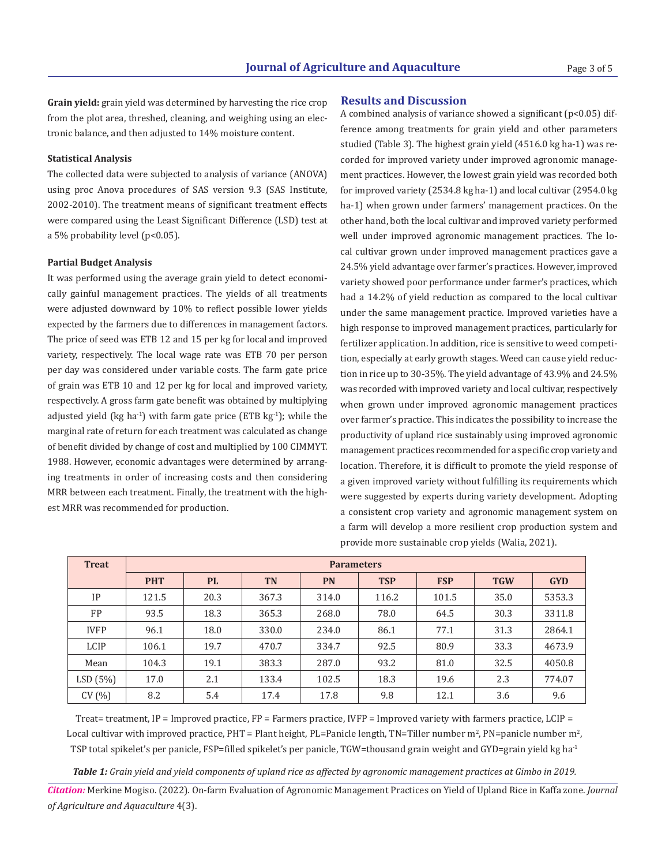**Grain yield:** grain yield was determined by harvesting the rice crop **Results and Discussion** from the plot area, threshed, cleaning, and weighing using an electronic balance, and then adjusted to 14% moisture content.

#### **Statistical Analysis**

The collected data were subjected to analysis of variance (ANOVA) using proc Anova procedures of SAS version 9.3 (SAS Institute, 2002-2010). The treatment means of significant treatment effects were compared using the Least Significant Difference (LSD) test at a 5% probability level (p<0.05).

#### **Partial Budget Analysis**

It was performed using the average grain yield to detect economically gainful management practices. The yields of all treatments were adjusted downward by 10% to reflect possible lower yields expected by the farmers due to differences in management factors. The price of seed was ETB 12 and 15 per kg for local and improved variety, respectively. The local wage rate was ETB 70 per person per day was considered under variable costs. The farm gate price of grain was ETB 10 and 12 per kg for local and improved variety, respectively. A gross farm gate benefit was obtained by multiplying adjusted yield (kg ha<sup>-1</sup>) with farm gate price (ETB kg<sup>-1</sup>); while the marginal rate of return for each treatment was calculated as change of benefit divided by change of cost and multiplied by 100 CIMMYT. 1988. However, economic advantages were determined by arranging treatments in order of increasing costs and then considering MRR between each treatment. Finally, the treatment with the highest MRR was recommended for production.

A combined analysis of variance showed a significant (p<0.05) difference among treatments for grain yield and other parameters studied (Table 3). The highest grain yield (4516.0 kg ha-1) was recorded for improved variety under improved agronomic management practices. However, the lowest grain yield was recorded both for improved variety (2534.8 kg ha-1) and local cultivar (2954.0 kg ha-1) when grown under farmers' management practices. On the other hand, both the local cultivar and improved variety performed well under improved agronomic management practices. The local cultivar grown under improved management practices gave a 24.5% yield advantage over farmer's practices. However, improved variety showed poor performance under farmer's practices, which had a 14.2% of yield reduction as compared to the local cultivar under the same management practice. Improved varieties have a high response to improved management practices, particularly for fertilizer application. In addition, rice is sensitive to weed competition, especially at early growth stages. Weed can cause yield reduction in rice up to 30-35%. The yield advantage of 43.9% and 24.5% was recorded with improved variety and local cultivar, respectively when grown under improved agronomic management practices over farmer's practice. This indicates the possibility to increase the productivity of upland rice sustainably using improved agronomic management practices recommended for a specific crop variety and location. Therefore, it is difficult to promote the yield response of a given improved variety without fulfilling its requirements which were suggested by experts during variety development. Adopting a consistent crop variety and agronomic management system on a farm will develop a more resilient crop production system and provide more sustainable crop yields (Walia, 2021).

| <b>Treat</b> | <b>Parameters</b> |           |           |           |            |            |            |            |
|--------------|-------------------|-----------|-----------|-----------|------------|------------|------------|------------|
|              | <b>PHT</b>        | <b>PL</b> | <b>TN</b> | <b>PN</b> | <b>TSP</b> | <b>FSP</b> | <b>TGW</b> | <b>GYD</b> |
| IP           | 121.5             | 20.3      | 367.3     | 314.0     | 116.2      | 101.5      | 35.0       | 5353.3     |
| <b>FP</b>    | 93.5              | 18.3      | 365.3     | 268.0     | 78.0       | 64.5       | 30.3       | 3311.8     |
| <b>IVFP</b>  | 96.1              | 18.0      | 330.0     | 234.0     | 86.1       | 77.1       | 31.3       | 2864.1     |
| LCIP         | 106.1             | 19.7      | 470.7     | 334.7     | 92.5       | 80.9       | 33.3       | 4673.9     |
| Mean         | 104.3             | 19.1      | 383.3     | 287.0     | 93.2       | 81.0       | 32.5       | 4050.8     |
| LSD(5%)      | 17.0              | 2.1       | 133.4     | 102.5     | 18.3       | 19.6       | 2.3        | 774.07     |
| CV(%)        | 8.2               | 5.4       | 17.4      | 17.8      | 9.8        | 12.1       | 3.6        | 9.6        |

Treat= treatment, IP = Improved practice,  $FP$  = Farmers practice, IVFP = Improved variety with farmers practice, LCIP = Local cultivar with improved practice, PHT = Plant height, PL=Panicle length, TN=Tiller number m<sup>2</sup>, PN=panicle number m<sup>2</sup>, TSP total spikelet's per panicle, FSP=filled spikelet's per panicle, TGW=thousand grain weight and GYD=grain yield kg ha-1

*Table 1: Grain yield and yield components of upland rice as affected by agronomic management practices at Gimbo in 2019.*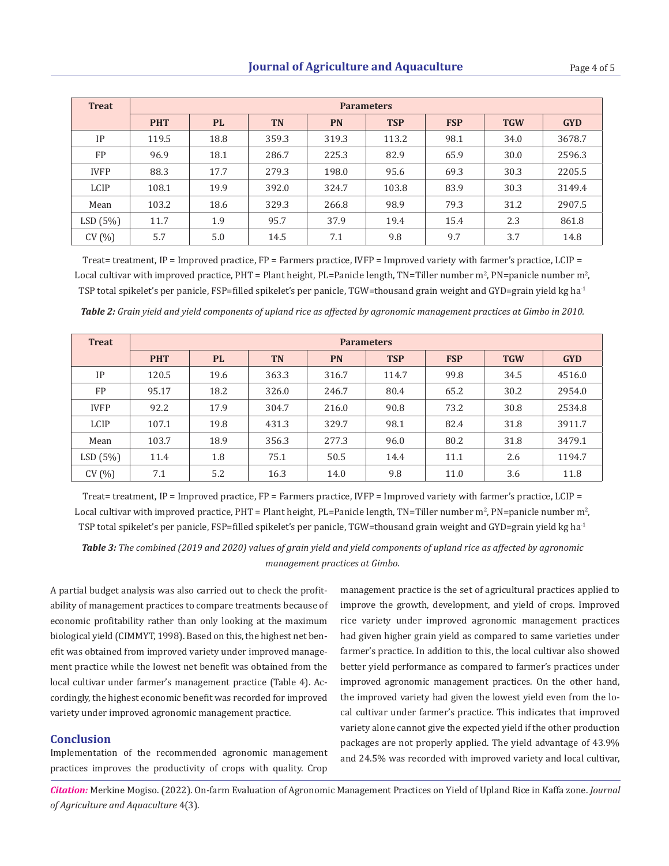| <b>Treat</b> | <b>Parameters</b> |           |           |           |            |            |            |            |
|--------------|-------------------|-----------|-----------|-----------|------------|------------|------------|------------|
|              | <b>PHT</b>        | <b>PL</b> | <b>TN</b> | <b>PN</b> | <b>TSP</b> | <b>FSP</b> | <b>TGW</b> | <b>GYD</b> |
| IP           | 119.5             | 18.8      | 359.3     | 319.3     | 113.2      | 98.1       | 34.0       | 3678.7     |
| FP           | 96.9              | 18.1      | 286.7     | 225.3     | 82.9       | 65.9       | 30.0       | 2596.3     |
| <b>IVFP</b>  | 88.3              | 17.7      | 279.3     | 198.0     | 95.6       | 69.3       | 30.3       | 2205.5     |
| LCIP         | 108.1             | 19.9      | 392.0     | 324.7     | 103.8      | 83.9       | 30.3       | 3149.4     |
| Mean         | 103.2             | 18.6      | 329.3     | 266.8     | 98.9       | 79.3       | 31.2       | 2907.5     |
| LSD(5%)      | 11.7              | 1.9       | 95.7      | 37.9      | 19.4       | 15.4       | 2.3        | 861.8      |
| CV(%)        | 5.7               | 5.0       | 14.5      | 7.1       | 9.8        | 9.7        | 3.7        | 14.8       |

Treat= treatment, IP = Improved practice,  $FP$  = Farmers practice, IVFP = Improved variety with farmer's practice, LCIP = Local cultivar with improved practice, PHT = Plant height, PL=Panicle length, TN=Tiller number m<sup>2</sup>, PN=panicle number m<sup>2</sup>, TSP total spikelet's per panicle, FSP=filled spikelet's per panicle, TGW=thousand grain weight and GYD=grain yield kg ha-1

*Table 2: Grain yield and yield components of upland rice as affected by agronomic management practices at Gimbo in 2010.*

| <b>Treat</b> | <b>Parameters</b> |           |           |           |            |            |            |            |  |
|--------------|-------------------|-----------|-----------|-----------|------------|------------|------------|------------|--|
|              | <b>PHT</b>        | <b>PL</b> | <b>TN</b> | <b>PN</b> | <b>TSP</b> | <b>FSP</b> | <b>TGW</b> | <b>GYD</b> |  |
| IP           | 120.5             | 19.6      | 363.3     | 316.7     | 114.7      | 99.8       | 34.5       | 4516.0     |  |
| FP           | 95.17             | 18.2      | 326.0     | 246.7     | 80.4       | 65.2       | 30.2       | 2954.0     |  |
| <b>IVFP</b>  | 92.2              | 17.9      | 304.7     | 216.0     | 90.8       | 73.2       | 30.8       | 2534.8     |  |
| LCIP         | 107.1             | 19.8      | 431.3     | 329.7     | 98.1       | 82.4       | 31.8       | 3911.7     |  |
| Mean         | 103.7             | 18.9      | 356.3     | 277.3     | 96.0       | 80.2       | 31.8       | 3479.1     |  |
| LSD(5%)      | 11.4              | 1.8       | 75.1      | 50.5      | 14.4       | 11.1       | 2.6        | 1194.7     |  |
| CV(%)        | 7.1               | 5.2       | 16.3      | 14.0      | 9.8        | 11.0       | 3.6        | 11.8       |  |

Treat= treatment, IP = Improved practice,  $FP$  = Farmers practice, IVFP = Improved variety with farmer's practice, LCIP = Local cultivar with improved practice, PHT = Plant height, PL=Panicle length, TN=Tiller number m<sup>2</sup>, PN=panicle number m<sup>2</sup>, TSP total spikelet's per panicle, FSP=filled spikelet's per panicle, TGW=thousand grain weight and GYD=grain yield kg ha<sup>-1</sup>

*Table 3: The combined (2019 and 2020) values of grain yield and yield components of upland rice as affected by agronomic management practices at Gimbo.* 

A partial budget analysis was also carried out to check the profitability of management practices to compare treatments because of economic profitability rather than only looking at the maximum biological yield (CIMMYT, 1998). Based on this, the highest net benefit was obtained from improved variety under improved management practice while the lowest net benefit was obtained from the local cultivar under farmer's management practice (Table 4). Accordingly, the highest economic benefit was recorded for improved variety under improved agronomic management practice.

## **Conclusion**

Implementation of the recommended agronomic management practices improves the productivity of crops with quality. Crop

management practice is the set of agricultural practices applied to improve the growth, development, and yield of crops. Improved rice variety under improved agronomic management practices had given higher grain yield as compared to same varieties under farmer's practice. In addition to this, the local cultivar also showed better yield performance as compared to farmer's practices under improved agronomic management practices. On the other hand, the improved variety had given the lowest yield even from the local cultivar under farmer's practice. This indicates that improved variety alone cannot give the expected yield if the other production packages are not properly applied. The yield advantage of 43.9% and 24.5% was recorded with improved variety and local cultivar,